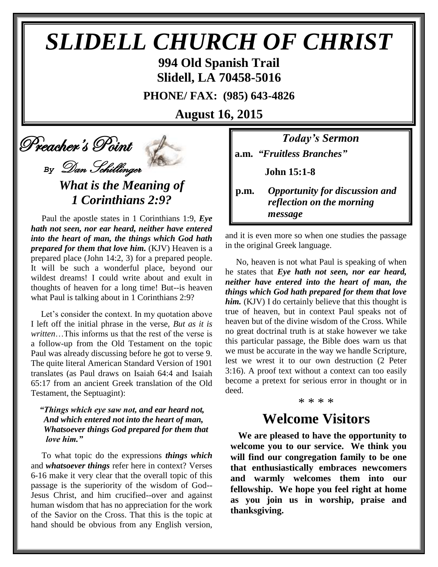# *SLIDELL CHURCH OF CHRIST*

**994 Old Spanish Trail Slidell, LA 70458-5016**

**PHONE/ FAX: (985) 643-4826**

**August 16, 2015**

## Preacher's Point

*By* Dan Schillinger

*What is the Meaning of 1 Corinthians 2:9?*

 Paul the apostle states in 1 Corinthians 1:9, *Eye hath not seen, nor ear heard, neither have entered into the heart of man, the things which God hath prepared for them that love him.* (KJV) Heaven is a prepared place (John 14:2, 3) for a prepared people. It will be such a wonderful place, beyond our wildest dreams! I could write about and exult in thoughts of heaven for a long time! But--is heaven what Paul is talking about in 1 Corinthians 2:9?

 Let's consider the context. In my quotation above I left off the initial phrase in the verse, *But as it is written*…This informs us that the rest of the verse is a follow-up from the Old Testament on the topic Paul was already discussing before he got to verse 9. The quite literal American Standard Version of 1901 translates (as Paul draws on Isaiah 64:4 and Isaiah 65:17 from an ancient Greek translation of the Old Testament, the Septuagint):

### *"Things which eye saw not, and ear heard not, And which entered not into the heart of man, Whatsoever things God prepared for them that love him."*

 To what topic do the expressions *things which* and *whatsoever things* refer here in context? Verses 6-16 make it very clear that the overall topic of this passage is the superiority of the wisdom of God-- Jesus Christ, and him crucified--over and against human wisdom that has no appreciation for the work of the Savior on the Cross. That this is the topic at hand should be obvious from any English version,

*Today's Sermon*

**a.m.** *"Fruitless Branches"*

 **John 15:1-8**

**p.m.** *Opportunity for discussion and*  *reflection on the morning message*

and it is even more so when one studies the passage in the original Greek language.

 No, heaven is not what Paul is speaking of when he states that *Eye hath not seen, nor ear heard, neither have entered into the heart of man, the things which God hath prepared for them that love him.* (KJV) I do certainly believe that this thought is true of heaven, but in context Paul speaks not of heaven but of the divine wisdom of the Cross. While no great doctrinal truth is at stake however we take this particular passage, the Bible does warn us that we must be accurate in the way we handle Scripture, lest we wrest it to our own destruction (2 Peter 3:16). A proof text without a context can too easily become a pretext for serious error in thought or in deed.

\* \* \* \*

## **Welcome Visitors**

**We are pleased to have the opportunity to welcome you to our service. We think you will find our congregation family to be one that enthusiastically embraces newcomers and warmly welcomes them into our fellowship. We hope you feel right at home as you join us in worship, praise and thanksgiving.**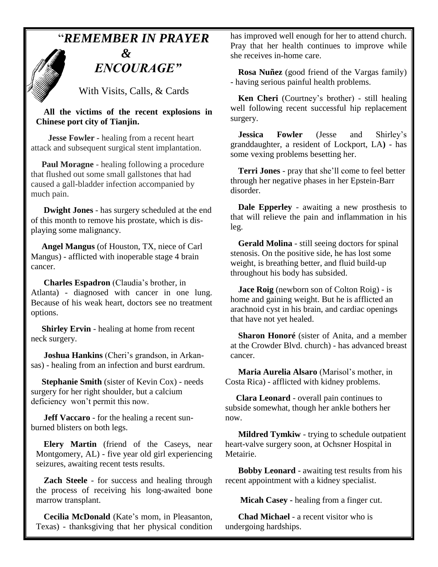## "*REMEMBER IN PRAYER*

## *&* " *ENCOURAGE"*

With Visits, Calls, & Cards

**All the victims of the recent explosions in Chinese port city of Tianjin.**

 **Jesse Fowler -** healing from a recent heart attack and subsequent surgical stent implantation.

 **Paul Moragne** - healing following a procedure that flushed out some small gallstones that had caused a gall-bladder infection accompanied by much pain.

 **Dwight Jones** - has surgery scheduled at the end of this month to remove his prostate, which is displaying some malignancy.

 **Angel Mangus** (of Houston, TX, niece of Carl Mangus) - afflicted with inoperable stage 4 brain cancer.

**Charles Espadron** (Claudia's brother, in Atlanta) - diagnosed with cancer in one lung. Because of his weak heart, doctors see no treatment options.

 **Shirley Ervin** - healing at home from recent neck surgery.

 **Joshua Hankins** (Cheri's grandson, in Arkansas) - healing from an infection and burst eardrum.

 **Stephanie Smith** (sister of Kevin Cox) - needs surgery for her right shoulder, but a calcium deficiency won't permit this now.

 **Jeff Vaccaro** - for the healing a recent sunburned blisters on both legs.

**Elery Martin** (friend of the Caseys, near Montgomery, AL) - five year old girl experiencing seizures, awaiting recent tests results.

**Zach Steele** - for success and healing through the process of receiving his long-awaited bone marrow transplant.

**Cecilia McDonald** (Kate's mom, in Pleasanton, Texas) - thanksgiving that her physical condition has improved well enough for her to attend church. Pray that her health continues to improve while she receives in-home care.

**Rosa Nuñez** (good friend of the Vargas family) - having serious painful health problems.

**Ken Cheri** (Courtney's brother) - still healing well following recent successful hip replacement surgery.

**Jessica Fowler** (Jesse and Shirley's granddaughter, a resident of Lockport, LA**)** - has some vexing problems besetting her.

**Terri Jones** - pray that she'll come to feel better through her negative phases in her Epstein-Barr disorder.

**Dale Epperley** - awaiting a new prosthesis to that will relieve the pain and inflammation in his leg.

**Gerald Molina** - still seeing doctors for spinal stenosis. On the positive side, he has lost some weight, is breathing better, and fluid build-up throughout his body has subsided.

**Jace Roig** (newborn son of Colton Roig) - is home and gaining weight. But he is afflicted an arachnoid cyst in his brain, and cardiac openings that have not yet healed.

**Sharon Honoré** (sister of Anita, and a member at the Crowder Blvd. church) - has advanced breast cancer.

 **Maria Aurelia Alsaro** (Marisol's mother, in Costa Rica) - afflicted with kidney problems.

 **Clara Leonard** - overall pain continues to subside somewhat, though her ankle bothers her now.

 **Mildred Tymkiw** - trying to schedule outpatient heart-valve surgery soon, at Ochsner Hospital in Metairie.

 **Bobby Leonard** - awaiting test results from his recent appointment with a kidney specialist.

 **Micah Casey -** healing from a finger cut.

 **Chad Michael** - a recent visitor who is undergoing hardships.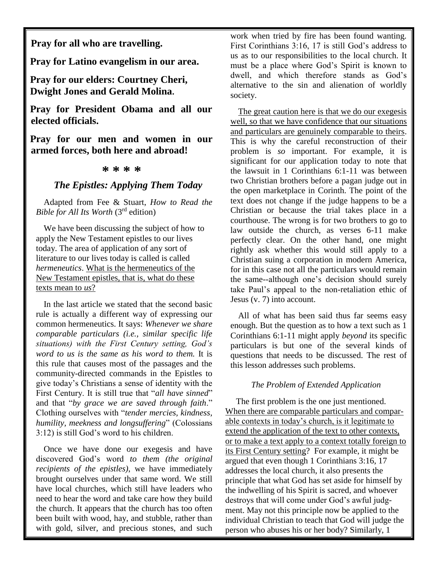**Pray for all who are travelling.**

**Pray for Latino evangelism in our area.**

**Pray for our elders: Courtney Cheri, Dwight Jones and Gerald Molina.**

**Pray for President Obama and all our elected officials.**

**Pray for our men and women in our armed forces, both here and abroad!**

#### **\* \* \* \***

## *The Epistles: Applying Them Today*

Adapted from Fee & Stuart, *How to Read the Bible for All Its Worth* (3rd edition)

We have been discussing the subject of how to apply the New Testament epistles to our lives today. The area of application of any sort of literature to our lives today is called is called *hermeneutics*. What is the hermeneutics of the New Testament epistles, that is, what do these texts mean to *us*?

In the last article we stated that the second basic rule is actually a different way of expressing our common hermeneutics. It says: *Whenever we share comparable particulars (i.e., similar specific life situations) with the First Century setting, God's word to us is the same as his word to them.* It is this rule that causes most of the passages and the community-directed commands in the Epistles to give today's Christians a sense of identity with the First Century. It is still true that "*all have sinned*" and that "*by grace we are saved through faith*." Clothing ourselves with "*tender mercies, kindness, humility, meekness and longsuffering*" (Colossians 3:12) is still God's word to his children.

Once we have done our exegesis and have discovered God's word *to them (the original recipients of the epistles)*, we have immediately brought ourselves under that same word. We still have local churches, which still have leaders who need to hear the word and take care how they build the church. It appears that the church has too often been built with wood, hay, and stubble, rather than with gold, silver, and precious stones, and such work when tried by fire has been found wanting. First Corinthians 3:16, 17 is still God's address to us as to our responsibilities to the local church. It must be a place where God's Spirit is known to dwell, and which therefore stands as God's alternative to the sin and alienation of worldly society.

The great caution here is that we do our exegesis well, so that we have confidence that our situations and particulars are genuinely comparable to theirs. This is why the careful reconstruction of their problem is *so* important. For example, it is significant for our application today to note that the lawsuit in 1 Corinthians 6:1-11 was between two Christian brothers before a pagan judge out in the open marketplace in Corinth. The point of the text does not change if the judge happens to be a Christian or because the trial takes place in a courthouse. The wrong is for two brothers to go to law outside the church, as verses 6-11 make perfectly clear. On the other hand, one might rightly ask whether this would still apply to a Christian suing a corporation in modern America, for in this case not all the particulars would remain the same--although one's decision should surely take Paul's appeal to the non-retaliation ethic of Jesus (v. 7) into account.

All of what has been said thus far seems easy enough. But the question as to how a text such as 1 Corinthians 6:1-11 might apply *beyond* its specific particulars is but one of the several kinds of questions that needs to be discussed. The rest of this lesson addresses such problems.

#### *The Problem of Extended Application*

 The first problem is the one just mentioned. When there are comparable particulars and comparable contexts in today's church, is it legitimate to extend the application of the text to other contexts, or to make a text apply to a context totally foreign to its First Century setting? For example, it might be argued that even though 1 Corinthians 3:16, 17 addresses the local church, it also presents the principle that what God has set aside for himself by the indwelling of his Spirit is sacred, and whoever destroys that will come under God's awful judgment. May not this principle now be applied to the individual Christian to teach that God will judge the person who abuses his or her body? Similarly, 1